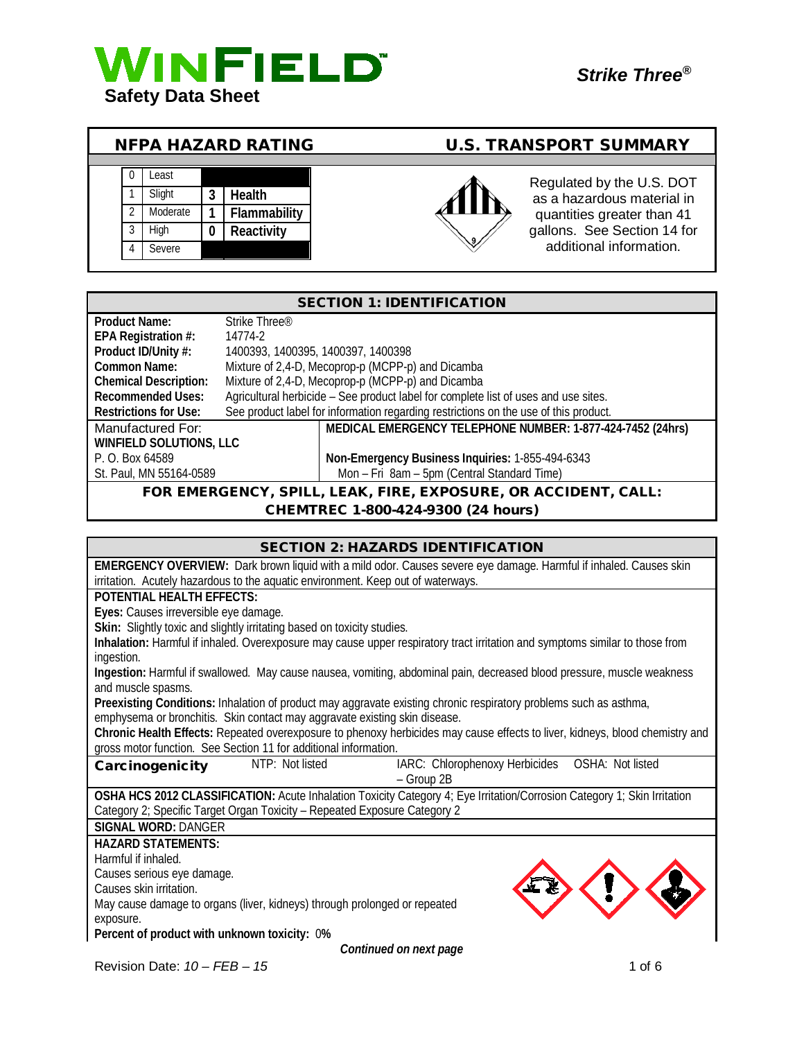

## NFPA HAZARD RATING U.S. TRANSPORT SUMMARY





quantities greater than 41 gallons. See Section 14 for additional information.

| <b>SECTION 1: IDENTIFICATION</b>                               |                                    |                                                                                      |
|----------------------------------------------------------------|------------------------------------|--------------------------------------------------------------------------------------|
| <b>Product Name:</b>                                           | Strike Three <sup>®</sup>          |                                                                                      |
| EPA Registration #:                                            | 14774-2                            |                                                                                      |
| Product ID/Unity #:                                            | 1400393, 1400395, 1400397, 1400398 |                                                                                      |
| Common Name:                                                   |                                    | Mixture of 2,4-D, Mecoprop-p (MCPP-p) and Dicamba                                    |
| <b>Chemical Description:</b>                                   |                                    | Mixture of 2,4-D, Mecoprop-p (MCPP-p) and Dicamba                                    |
| <b>Recommended Uses:</b>                                       |                                    | Agricultural herbicide - See product label for complete list of uses and use sites.  |
| <b>Restrictions for Use:</b>                                   |                                    | See product label for information regarding restrictions on the use of this product. |
| Manufactured For:                                              |                                    | MEDICAL EMERGENCY TELEPHONE NUMBER: 1-877-424-7452 (24hrs)                           |
| <b>WINFIELD SOLUTIONS, LLC</b>                                 |                                    |                                                                                      |
| P. O. Box 64589                                                |                                    | Non-Emergency Business Inquiries: 1-855-494-6343                                     |
| St. Paul, MN 55164-0589                                        |                                    | Mon - Fri 8am - 5pm (Central Standard Time)                                          |
| FOR EMERGENCY, SPILL, LEAK, FIRE, EXPOSURE, OR ACCIDENT, CALL: |                                    |                                                                                      |
|                                                                |                                    | CHEMTREC 1-800-424-9300 (24 hours)                                                   |

#### SECTION 2: HAZARDS IDENTIFICATION

**EMERGENCY OVERVIEW:** Dark brown liquid with a mild odor. Causes severe eye damage. Harmful if inhaled. Causes skin irritation. Acutely hazardous to the aquatic environment. Keep out of waterways.

#### **POTENTIAL HEALTH EFFECTS:**

**Eyes:** Causes irreversible eye damage.

Skin: Slightly toxic and slightly irritating based on toxicity studies.

**Inhalation:** Harmful if inhaled. Overexposure may cause upper respiratory tract irritation and symptoms similar to those from ingestion.

**Ingestion:** Harmful if swallowed. May cause nausea, vomiting, abdominal pain, decreased blood pressure, muscle weakness and muscle spasms.

**Preexisting Conditions:** Inhalation of product may aggravate existing chronic respiratory problems such as asthma, emphysema or bronchitis. Skin contact may aggravate existing skin disease.

**Chronic Health Effects:** Repeated overexposure to phenoxy herbicides may cause effects to liver, kidneys, blood chemistry and gross motor function. See Section 11 for additional information.

| Carcinogenicity | NTP: Not listed | IARC: Chlorophenoxy Herbicides  OSHA: Not listed |  |
|-----------------|-----------------|--------------------------------------------------|--|
|                 |                 | – Group 2B                                       |  |

**OSHA HCS 2012 CLASSIFICATION:** Acute Inhalation Toxicity Category 4; Eye Irritation/Corrosion Category 1; Skin Irritation Category 2; Specific Target Organ Toxicity – Repeated Exposure Category 2

**SIGNAL WORD:** DANGER

**HAZARD STATEMENTS:**

Harmful if inhaled.

Causes serious eye damage.

Causes skin irritation.

May cause damage to organs (liver, kidneys) through prolonged or repeated exposure.

**Percent of product with unknown toxicity:** 0**%**

*Continued on next page*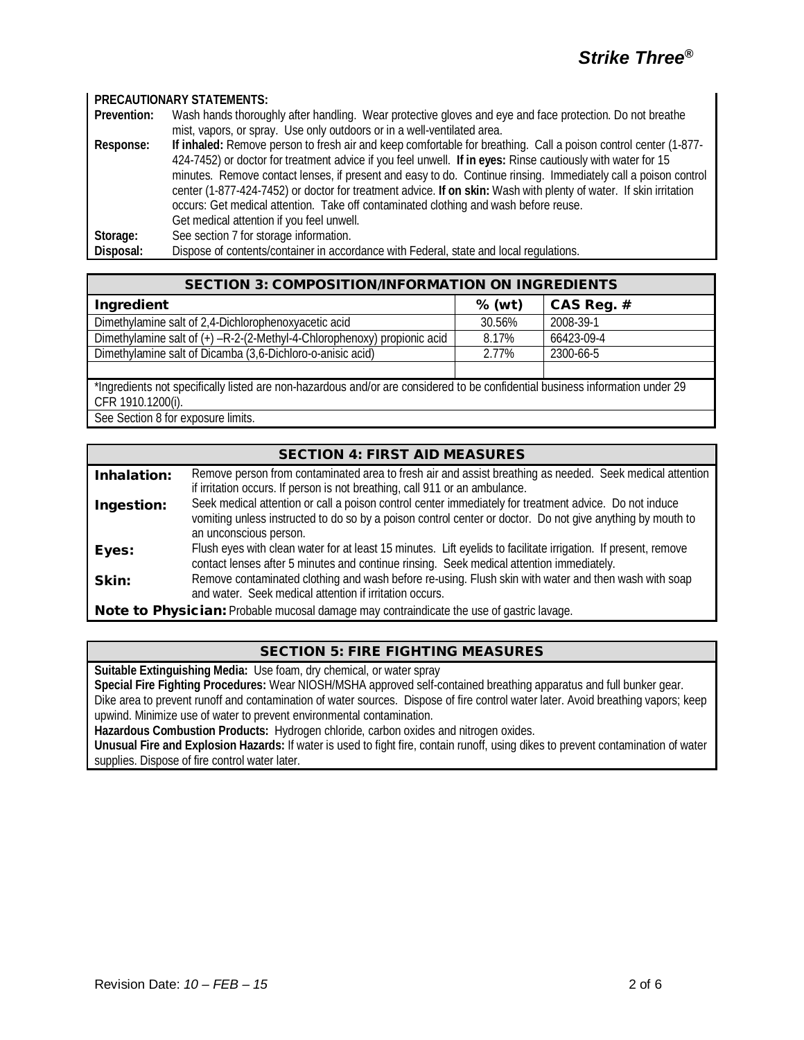#### **PRECAUTIONARY STATEMENTS:**

**Prevention:** Wash hands thoroughly after handling. Wear protective gloves and eye and face protection. Do not breathe mist, vapors, or spray. Use only outdoors or in a well-ventilated area. **Response: If inhaled:** Remove person to fresh air and keep comfortable for breathing. Call a poison control center (1-877- 424-7452) or doctor for treatment advice if you feel unwell. **If in eyes:** Rinse cautiously with water for 15 minutes. Remove contact lenses, if present and easy to do. Continue rinsing. Immediately call a poison control center (1-877-424-7452) or doctor for treatment advice. **If on skin:** Wash with plenty of water. If skin irritation occurs: Get medical attention. Take off contaminated clothing and wash before reuse. Get medical attention if you feel unwell. Storage: See section 7 for storage information. **Disposal:** Dispose of contents/container in accordance with Federal, state and local regulations.

| <b>SECTION 3: COMPOSITION/INFORMATION ON INGREDIENTS</b>                                                                      |          |            |  |
|-------------------------------------------------------------------------------------------------------------------------------|----------|------------|--|
| Ingredient                                                                                                                    | $%$ (wt) | CAS Reg. # |  |
| Dimethylamine salt of 2,4-Dichlorophenoxyacetic acid                                                                          | 30.56%   | 2008-39-1  |  |
| Dimethylamine salt of $(+)$ -R-2-(2-Methyl-4-Chlorophenoxy) propionic acid                                                    | 8.17%    | 66423-09-4 |  |
| Dimethylamine salt of Dicamba (3,6-Dichloro-o-anisic acid)                                                                    | 2.77%    | 2300-66-5  |  |
|                                                                                                                               |          |            |  |
| *Ingredients not specifically listed are non-hazardous and/or are considered to be confidential business information under 29 |          |            |  |
| CFR 1910.1200(i).                                                                                                             |          |            |  |
| Soo Soction 0 for ovnocuro limite                                                                                             |          |            |  |

See Section 8 for exposure limits.

### SECTION 4: FIRST AID MEASURES

| Inhalation:                                                                                     | Remove person from contaminated area to fresh air and assist breathing as needed. Seek medical attention                                                                                                             |
|-------------------------------------------------------------------------------------------------|----------------------------------------------------------------------------------------------------------------------------------------------------------------------------------------------------------------------|
|                                                                                                 | if irritation occurs. If person is not breathing, call 911 or an ambulance.                                                                                                                                          |
| Ingestion:                                                                                      | Seek medical attention or call a poison control center immediately for treatment advice. Do not induce<br>vomiting unless instructed to do so by a poison control center or doctor. Do not give anything by mouth to |
|                                                                                                 | an unconscious person.                                                                                                                                                                                               |
| Eyes:                                                                                           | Flush eyes with clean water for at least 15 minutes. Lift eyelids to facilitate irrigation. If present, remove<br>contact lenses after 5 minutes and continue rinsing. Seek medical attention immediately.           |
| Skin:                                                                                           | Remove contaminated clothing and wash before re-using. Flush skin with water and then wash with soap<br>and water. Seek medical attention if irritation occurs.                                                      |
| <b>Note to Physician:</b> Probable mucosal damage may contraindicate the use of gastric lavage. |                                                                                                                                                                                                                      |

SECTION 5: FIRE FIGHTING MEASURES

**Suitable Extinguishing Media:** Use foam, dry chemical, or water spray

**Special Fire Fighting Procedures:** Wear NIOSH/MSHA approved self-contained breathing apparatus and full bunker gear. Dike area to prevent runoff and contamination of water sources. Dispose of fire control water later. Avoid breathing vapors; keep

upwind. Minimize use of water to prevent environmental contamination.

**Hazardous Combustion Products:** Hydrogen chloride, carbon oxides and nitrogen oxides.

**Unusual Fire and Explosion Hazards:** If water is used to fight fire, contain runoff, using dikes to prevent contamination of water supplies. Dispose of fire control water later.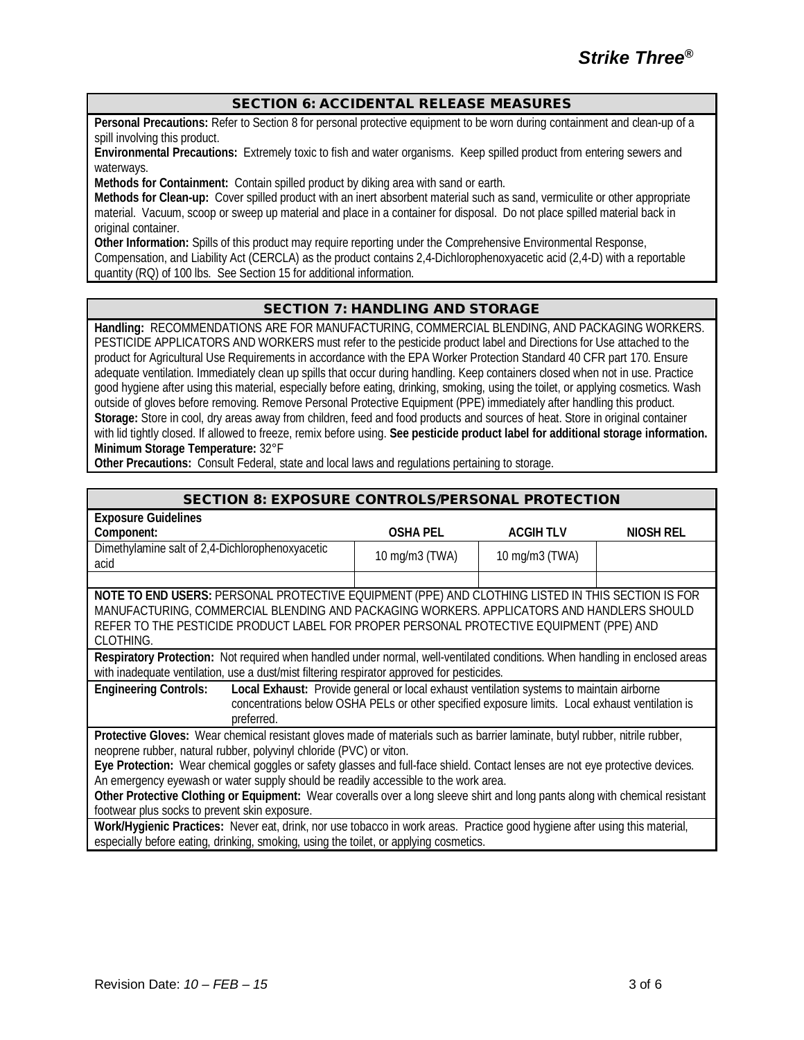#### SECTION 6: ACCIDENTAL RELEASE MEASURES

**Personal Precautions:** Refer to Section 8 for personal protective equipment to be worn during containment and clean-up of a spill involving this product.

**Environmental Precautions:** Extremely toxic to fish and water organisms. Keep spilled product from entering sewers and waterways.

**Methods for Containment:** Contain spilled product by diking area with sand or earth.

**Methods for Clean-up:** Cover spilled product with an inert absorbent material such as sand, vermiculite or other appropriate material. Vacuum, scoop or sweep up material and place in a container for disposal. Do not place spilled material back in original container.

**Other Information:** Spills of this product may require reporting under the Comprehensive Environmental Response, Compensation, and Liability Act (CERCLA) as the product contains 2,4-Dichlorophenoxyacetic acid (2,4-D) with a reportable quantity (RQ) of 100 lbs. See Section 15 for additional information.

#### SECTION 7: HANDLING AND STORAGE

**Handling:** RECOMMENDATIONS ARE FOR MANUFACTURING, COMMERCIAL BLENDING, AND PACKAGING WORKERS. PESTICIDE APPLICATORS AND WORKERS must refer to the pesticide product label and Directions for Use attached to the product for Agricultural Use Requirements in accordance with the EPA Worker Protection Standard 40 CFR part 170. Ensure adequate ventilation. Immediately clean up spills that occur during handling. Keep containers closed when not in use. Practice good hygiene after using this material, especially before eating, drinking, smoking, using the toilet, or applying cosmetics. Wash outside of gloves before removing. Remove Personal Protective Equipment (PPE) immediately after handling this product. **Storage:** Store in cool, dry areas away from children, feed and food products and sources of heat. Store in original container with lid tightly closed. If allowed to freeze, remix before using. **See pesticide product label for additional storage information. Minimum Storage Temperature:** 32°F

**Other Precautions:** Consult Federal, state and local laws and regulations pertaining to storage.

#### SECTION 8: EXPOSURE CONTROLS/PERSONAL PROTECTION

| <b>Exposure Guidelines</b>                                                                                                   |                                                                                                 |                 |                  |
|------------------------------------------------------------------------------------------------------------------------------|-------------------------------------------------------------------------------------------------|-----------------|------------------|
| Component:                                                                                                                   | OSHA PEL                                                                                        | <b>ACGIHTLV</b> | <b>NIOSH REL</b> |
| Dimethylamine salt of 2,4-Dichlorophenoxyacetic                                                                              | 10 mg/m3 (TWA)                                                                                  | 10 mg/m3 (TWA)  |                  |
| acid                                                                                                                         |                                                                                                 |                 |                  |
|                                                                                                                              |                                                                                                 |                 |                  |
| NOTE TO END USERS: PERSONAL PROTECTIVE EQUIPMENT (PPE) AND CLOTHING LISTED IN THIS SECTION IS FOR                            |                                                                                                 |                 |                  |
| MANUFACTURING, COMMERCIAL BLENDING AND PACKAGING WORKERS. APPLICATORS AND HANDLERS SHOULD                                    |                                                                                                 |                 |                  |
| REFER TO THE PESTICIDE PRODUCT LABEL FOR PROPER PERSONAL PROTECTIVE EQUIPMENT (PPE) AND                                      |                                                                                                 |                 |                  |
| CLOTHING.                                                                                                                    |                                                                                                 |                 |                  |
| Respiratory Protection: Not required when handled under normal, well-ventilated conditions. When handling in enclosed areas  |                                                                                                 |                 |                  |
| with inadequate ventilation, use a dust/mist filtering respirator approved for pesticides.                                   |                                                                                                 |                 |                  |
| <b>Engineering Controls:</b>                                                                                                 | Local Exhaust: Provide general or local exhaust ventilation systems to maintain airborne        |                 |                  |
|                                                                                                                              | concentrations below OSHA PELs or other specified exposure limits. Local exhaust ventilation is |                 |                  |
| preferred.                                                                                                                   |                                                                                                 |                 |                  |
| Protective Gloves: Wear chemical resistant gloves made of materials such as barrier laminate, butyl rubber, nitrile rubber,  |                                                                                                 |                 |                  |
| neoprene rubber, natural rubber, polyvinyl chloride (PVC) or viton.                                                          |                                                                                                 |                 |                  |
| Eye Protection: Wear chemical goggles or safety glasses and full-face shield. Contact lenses are not eye protective devices. |                                                                                                 |                 |                  |
| An emergency eyewash or water supply should be readily accessible to the work area.                                          |                                                                                                 |                 |                  |
| Other Protective Clothing or Equipment: Wear coveralls over a long sleeve shirt and long pants along with chemical resistant |                                                                                                 |                 |                  |
| footwear plus socks to prevent skin exposure.                                                                                |                                                                                                 |                 |                  |
| Work/Hygienic Practices: Never eat, drink, nor use tobacco in work areas. Practice good hygiene after using this material,   |                                                                                                 |                 |                  |
| especially before eating, drinking, smoking, using the toilet, or applying cosmetics.                                        |                                                                                                 |                 |                  |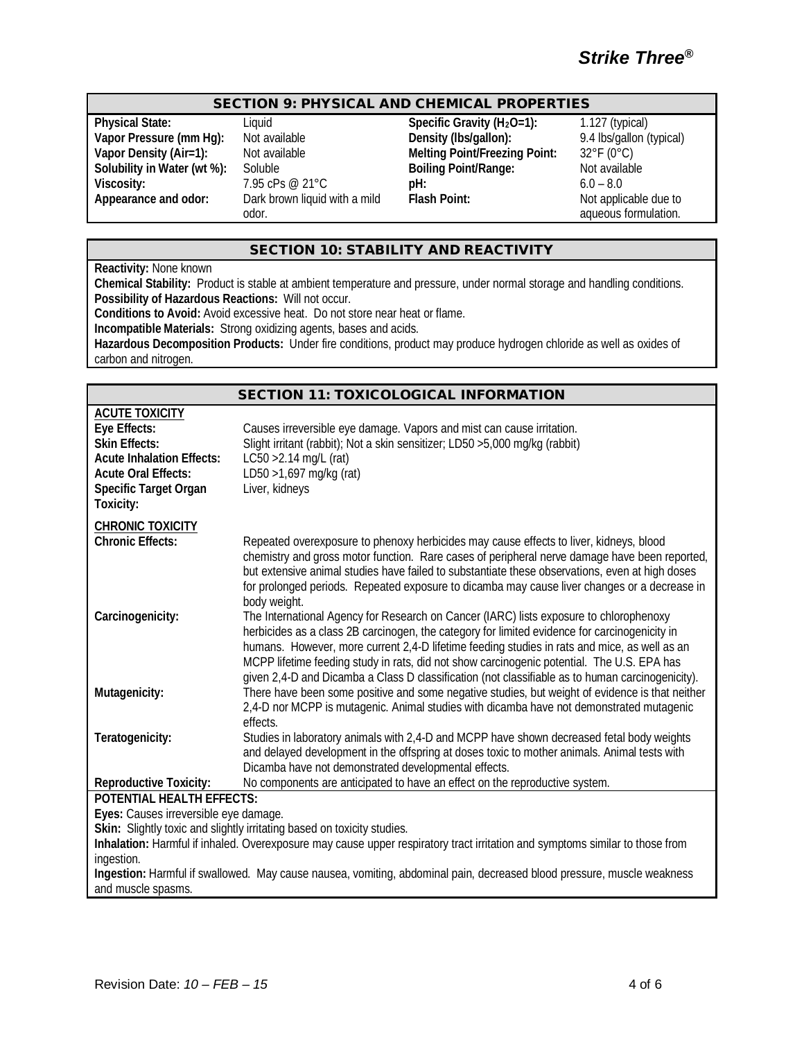# *Strike Three®*

#### SECTION 9: PHYSICAL AND CHEMICAL PROPERTIES

**Viscosity:** 7.95 cPs @ 21°C **pH:** 7.95 cPs @ 21°C **pH:** 6.0 **pH:** 6.0 **Appearance and odor:** Dark brown liquid with a mild Flash Point:

Dark brown liquid with a mild odor.

**Physical State:** Liquid Liquid **Specific Gravity (H<sub>2</sub>O=1):** 1.127 (typical)<br> **Vapor Pressure (mm Hg):** Not available **Density (Ibs/gallon):** 9.4 lbs/gallon (typical) **Vapor Pressure (mm Hg):** Not available **Density (Ibs/gallon):** 9.4 lbs/gallon (Vapor Density (Air=1): Not available **Density Melting Point/Freezing Point:** 32°F (0°C) Not available **Melting Point/Freezing Point:** 32°F (0°C)<br>Soluble **Boiling Point/Range:** Not available **Solubility in Water (wt %):** Soluble **Boiling Point/Range:** Not available viscosity: 195 cPs @ 21 °C<br>
Not available **Boiling Point/Range:** 6.0 - 8.0

**Flash Point:** Not applicable due to aqueous formulation.

#### SECTION 10: STABILITY AND REACTIVITY

**Reactivity:** None known

**Chemical Stability:** Product is stable at ambient temperature and pressure, under normal storage and handling conditions. **Possibility of Hazardous Reactions:** Will not occur.

**Conditions to Avoid:** Avoid excessive heat. Do not store near heat or flame.

**Incompatible Materials:** Strong oxidizing agents, bases and acids.

**Hazardous Decomposition Products:** Under fire conditions, product may produce hydrogen chloride as well as oxides of carbon and nitrogen.

|                                                                                                                                                                              | <b>SECTION 11: TOXICOLOGICAL INFORMATION</b>                                                                                                                                                                                                                                                                                                                                                                                                                                              |
|------------------------------------------------------------------------------------------------------------------------------------------------------------------------------|-------------------------------------------------------------------------------------------------------------------------------------------------------------------------------------------------------------------------------------------------------------------------------------------------------------------------------------------------------------------------------------------------------------------------------------------------------------------------------------------|
| <b>ACUTE TOXICITY</b><br>Eye Effects:<br><b>Skin Effects:</b><br><b>Acute Inhalation Effects:</b><br><b>Acute Oral Effects:</b><br><b>Specific Target Organ</b><br>Toxicity: | Causes irreversible eye damage. Vapors and mist can cause irritation.<br>Slight irritant (rabbit); Not a skin sensitizer; LD50 >5,000 mg/kg (rabbit)<br>$LC50 > 2.14$ mg/L (rat)<br>LD50 >1,697 mg/kg (rat)<br>Liver, kidneys                                                                                                                                                                                                                                                             |
| <b>CHRONIC TOXICITY</b><br><b>Chronic Effects:</b>                                                                                                                           | Repeated overexposure to phenoxy herbicides may cause effects to liver, kidneys, blood<br>chemistry and gross motor function. Rare cases of peripheral nerve damage have been reported,<br>but extensive animal studies have failed to substantiate these observations, even at high doses<br>for prolonged periods. Repeated exposure to dicamba may cause liver changes or a decrease in<br>body weight.                                                                                |
| Carcinogenicity:                                                                                                                                                             | The International Agency for Research on Cancer (IARC) lists exposure to chlorophenoxy<br>herbicides as a class 2B carcinogen, the category for limited evidence for carcinogenicity in<br>humans. However, more current 2,4-D lifetime feeding studies in rats and mice, as well as an<br>MCPP lifetime feeding study in rats, did not show carcinogenic potential. The U.S. EPA has<br>given 2,4-D and Dicamba a Class D classification (not classifiable as to human carcinogenicity). |
| Mutagenicity:                                                                                                                                                                | There have been some positive and some negative studies, but weight of evidence is that neither<br>2,4-D nor MCPP is mutagenic. Animal studies with dicamba have not demonstrated mutagenic<br>effects.                                                                                                                                                                                                                                                                                   |
| Teratogenicity:                                                                                                                                                              | Studies in laboratory animals with 2,4-D and MCPP have shown decreased fetal body weights<br>and delayed development in the offspring at doses toxic to mother animals. Animal tests with<br>Dicamba have not demonstrated developmental effects.                                                                                                                                                                                                                                         |
| <b>Reproductive Toxicity:</b>                                                                                                                                                | No components are anticipated to have an effect on the reproductive system.                                                                                                                                                                                                                                                                                                                                                                                                               |
| POTENTIAL HEALTH EFFECTS:                                                                                                                                                    |                                                                                                                                                                                                                                                                                                                                                                                                                                                                                           |
| Eyes: Causes irreversible eye damage.                                                                                                                                        |                                                                                                                                                                                                                                                                                                                                                                                                                                                                                           |
|                                                                                                                                                                              | Skin: Slightly toxic and slightly irritating based on toxicity studies.<br>Inhalation: Harmful if inhaled. Overexposure may cause upper respiratory tract irritation and symptoms similar to those from                                                                                                                                                                                                                                                                                   |
| ingestion.                                                                                                                                                                   |                                                                                                                                                                                                                                                                                                                                                                                                                                                                                           |
| and muscle spasms.                                                                                                                                                           | Ingestion: Harmful if swallowed. May cause nausea, vomiting, abdominal pain, decreased blood pressure, muscle weakness                                                                                                                                                                                                                                                                                                                                                                    |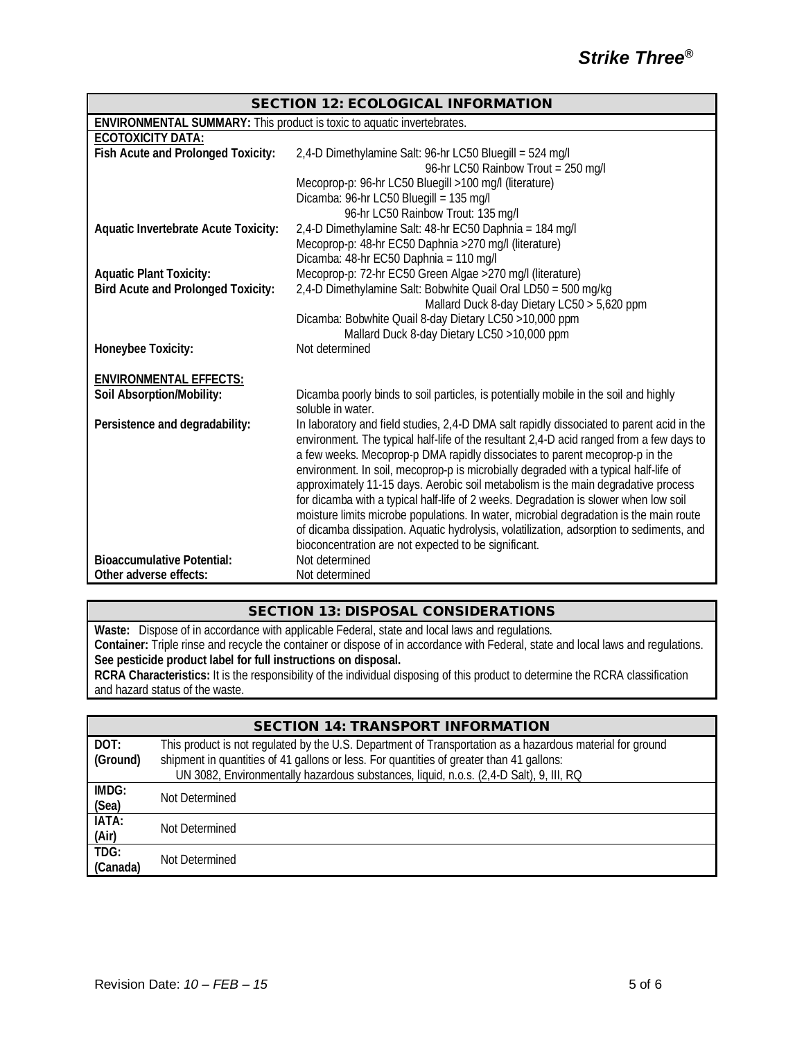| <b>SECTION 12: ECOLOGICAL INFORMATION</b>                              |                                                                                           |  |
|------------------------------------------------------------------------|-------------------------------------------------------------------------------------------|--|
| ENVIRONMENTAL SUMMARY: This product is toxic to aquatic invertebrates. |                                                                                           |  |
| ECOTOXICITY DATA:                                                      |                                                                                           |  |
| Fish Acute and Prolonged Toxicity:                                     | 2,4-D Dimethylamine Salt: 96-hr LC50 Bluegill = 524 mg/l                                  |  |
|                                                                        | 96-hr LC50 Rainbow Trout = 250 mg/l                                                       |  |
|                                                                        | Mecoprop-p: 96-hr LC50 Bluegill >100 mg/l (literature)                                    |  |
|                                                                        | Dicamba: 96-hr LC50 Bluegill = 135 mg/l                                                   |  |
|                                                                        | 96-hr LC50 Rainbow Trout: 135 mg/l                                                        |  |
| <b>Aquatic Invertebrate Acute Toxicity:</b>                            | 2,4-D Dimethylamine Salt: 48-hr EC50 Daphnia = 184 mg/l                                   |  |
|                                                                        | Mecoprop-p: 48-hr EC50 Daphnia >270 mg/l (literature)                                     |  |
|                                                                        | Dicamba: 48-hr EC50 Daphnia = 110 mg/l                                                    |  |
| <b>Aquatic Plant Toxicity:</b>                                         | Mecoprop-p: 72-hr EC50 Green Algae >270 mg/l (literature)                                 |  |
| <b>Bird Acute and Prolonged Toxicity:</b>                              | 2,4-D Dimethylamine Salt: Bobwhite Quail Oral LD50 = 500 mg/kg                            |  |
|                                                                        | Mallard Duck 8-day Dietary LC50 > 5,620 ppm                                               |  |
|                                                                        | Dicamba: Bobwhite Quail 8-day Dietary LC50 > 10,000 ppm                                   |  |
|                                                                        | Mallard Duck 8-day Dietary LC50 >10,000 ppm                                               |  |
| Honeybee Toxicity:                                                     | Not determined                                                                            |  |
| <b>ENVIRONMENTAL EFFECTS:</b>                                          |                                                                                           |  |
| <b>Soil Absorption/Mobility:</b>                                       | Dicamba poorly binds to soil particles, is potentially mobile in the soil and highly      |  |
|                                                                        | soluble in water.                                                                         |  |
| Persistence and degradability:                                         | In laboratory and field studies, 2,4-D DMA salt rapidly dissociated to parent acid in the |  |
|                                                                        | environment. The typical half-life of the resultant 2,4-D acid ranged from a few days to  |  |
|                                                                        | a few weeks. Mecoprop-p DMA rapidly dissociates to parent mecoprop-p in the               |  |
|                                                                        | environment. In soil, mecoprop-p is microbially degraded with a typical half-life of      |  |
|                                                                        | approximately 11-15 days. Aerobic soil metabolism is the main degradative process         |  |
|                                                                        | for dicamba with a typical half-life of 2 weeks. Degradation is slower when low soil      |  |
|                                                                        | moisture limits microbe populations. In water, microbial degradation is the main route    |  |
|                                                                        | of dicamba dissipation. Aquatic hydrolysis, volatilization, adsorption to sediments, and  |  |
|                                                                        | bioconcentration are not expected to be significant.                                      |  |
| <b>Bioaccumulative Potential:</b>                                      | Not determined                                                                            |  |
| Other adverse effects:                                                 | Not determined                                                                            |  |

### SECTION 13: DISPOSAL CONSIDERATIONS

**Waste:** Dispose of in accordance with applicable Federal, state and local laws and regulations. **Container:** Triple rinse and recycle the container or dispose of in accordance with Federal, state and local laws and regulations. **See pesticide product label for full instructions on disposal. RCRA Characteristics:** It is the responsibility of the individual disposing of this product to determine the RCRA classification

and hazard status of the waste.

|                                  | <b>SECTION 14: TRANSPORT INFORMATION</b>                                                                  |  |
|----------------------------------|-----------------------------------------------------------------------------------------------------------|--|
| DOT:                             | This product is not regulated by the U.S. Department of Transportation as a hazardous material for ground |  |
| (Ground)                         | shipment in quantities of 41 gallons or less. For quantities of greater than 41 gallons:                  |  |
|                                  | UN 3082, Environmentally hazardous substances, liquid, n.o.s. (2,4-D Salt), 9, III, RQ                    |  |
| IMDG:<br>(Sea)                   | Not Determined                                                                                            |  |
|                                  |                                                                                                           |  |
| IATA:<br>Not Determined<br>(Air) |                                                                                                           |  |
|                                  |                                                                                                           |  |
| TDG:                             | Not Determined                                                                                            |  |
| (Canada)                         |                                                                                                           |  |